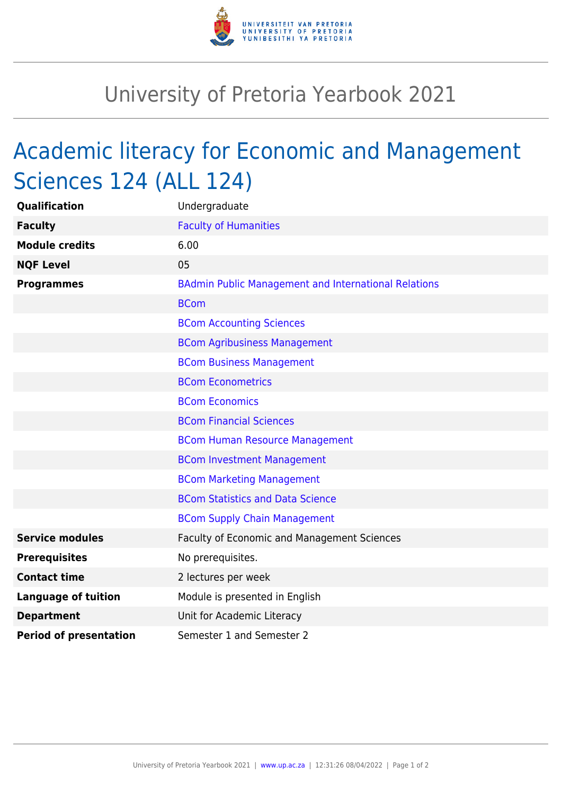

## University of Pretoria Yearbook 2021

## Academic literacy for Economic and Management Sciences 124 (ALL 124)

| <b>Qualification</b>          | Undergraduate                                               |
|-------------------------------|-------------------------------------------------------------|
| <b>Faculty</b>                | <b>Faculty of Humanities</b>                                |
| <b>Module credits</b>         | 6.00                                                        |
| <b>NQF Level</b>              | 05                                                          |
| <b>Programmes</b>             | <b>BAdmin Public Management and International Relations</b> |
|                               | <b>BCom</b>                                                 |
|                               | <b>BCom Accounting Sciences</b>                             |
|                               | <b>BCom Agribusiness Management</b>                         |
|                               | <b>BCom Business Management</b>                             |
|                               | <b>BCom Econometrics</b>                                    |
|                               | <b>BCom Economics</b>                                       |
|                               | <b>BCom Financial Sciences</b>                              |
|                               | <b>BCom Human Resource Management</b>                       |
|                               | <b>BCom Investment Management</b>                           |
|                               | <b>BCom Marketing Management</b>                            |
|                               | <b>BCom Statistics and Data Science</b>                     |
|                               | <b>BCom Supply Chain Management</b>                         |
| <b>Service modules</b>        | Faculty of Economic and Management Sciences                 |
| <b>Prerequisites</b>          | No prerequisites.                                           |
| <b>Contact time</b>           | 2 lectures per week                                         |
| <b>Language of tuition</b>    | Module is presented in English                              |
| <b>Department</b>             | Unit for Academic Literacy                                  |
| <b>Period of presentation</b> | Semester 1 and Semester 2                                   |